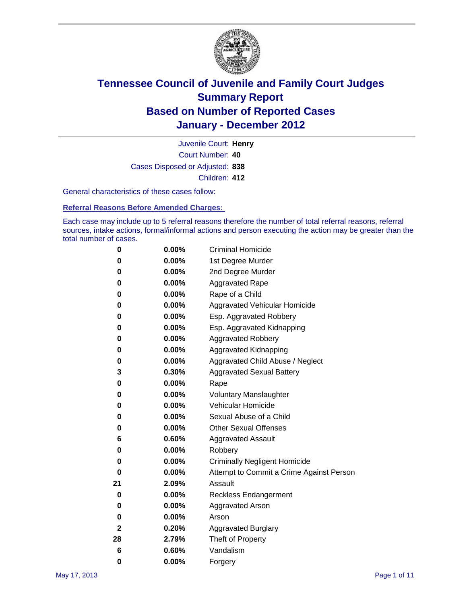

Court Number: **40** Juvenile Court: **Henry** Cases Disposed or Adjusted: **838** Children: **412**

General characteristics of these cases follow:

**Referral Reasons Before Amended Charges:** 

Each case may include up to 5 referral reasons therefore the number of total referral reasons, referral sources, intake actions, formal/informal actions and person executing the action may be greater than the total number of cases.

| 0  | 0.00%    | <b>Criminal Homicide</b>                 |  |  |  |
|----|----------|------------------------------------------|--|--|--|
| 0  | 0.00%    | 1st Degree Murder                        |  |  |  |
| 0  | 0.00%    | 2nd Degree Murder                        |  |  |  |
| 0  | 0.00%    | <b>Aggravated Rape</b>                   |  |  |  |
| 0  | 0.00%    | Rape of a Child                          |  |  |  |
| 0  | 0.00%    | Aggravated Vehicular Homicide            |  |  |  |
| 0  | 0.00%    | Esp. Aggravated Robbery                  |  |  |  |
| 0  | 0.00%    | Esp. Aggravated Kidnapping               |  |  |  |
| 0  | 0.00%    | <b>Aggravated Robbery</b>                |  |  |  |
| 0  | 0.00%    | Aggravated Kidnapping                    |  |  |  |
| 0  | 0.00%    | Aggravated Child Abuse / Neglect         |  |  |  |
| 3  | 0.30%    | <b>Aggravated Sexual Battery</b>         |  |  |  |
| 0  | 0.00%    | Rape                                     |  |  |  |
| 0  | $0.00\%$ | <b>Voluntary Manslaughter</b>            |  |  |  |
| 0  | 0.00%    | Vehicular Homicide                       |  |  |  |
| 0  | 0.00%    | Sexual Abuse of a Child                  |  |  |  |
| 0  | 0.00%    | <b>Other Sexual Offenses</b>             |  |  |  |
| 6  | 0.60%    | <b>Aggravated Assault</b>                |  |  |  |
| 0  | $0.00\%$ | Robbery                                  |  |  |  |
| 0  | 0.00%    | <b>Criminally Negligent Homicide</b>     |  |  |  |
| 0  | 0.00%    | Attempt to Commit a Crime Against Person |  |  |  |
| 21 | 2.09%    | Assault                                  |  |  |  |
| 0  | 0.00%    | <b>Reckless Endangerment</b>             |  |  |  |
| 0  | 0.00%    | <b>Aggravated Arson</b>                  |  |  |  |
| 0  | 0.00%    | Arson                                    |  |  |  |
| 2  | 0.20%    | <b>Aggravated Burglary</b>               |  |  |  |
| 28 | 2.79%    | Theft of Property                        |  |  |  |
| 6  | 0.60%    | Vandalism                                |  |  |  |
| 0  | 0.00%    | Forgery                                  |  |  |  |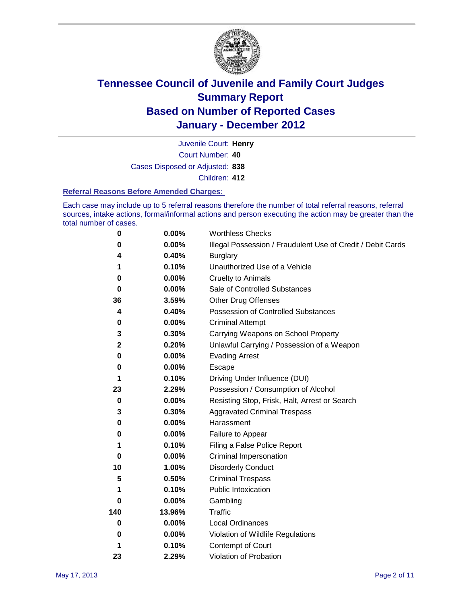

Court Number: **40** Juvenile Court: **Henry** Cases Disposed or Adjusted: **838** Children: **412**

#### **Referral Reasons Before Amended Charges:**

Each case may include up to 5 referral reasons therefore the number of total referral reasons, referral sources, intake actions, formal/informal actions and person executing the action may be greater than the total number of cases.

| $\pmb{0}$   | 0.00%    | <b>Worthless Checks</b>                                     |  |
|-------------|----------|-------------------------------------------------------------|--|
| 0           | 0.00%    | Illegal Possession / Fraudulent Use of Credit / Debit Cards |  |
| 4           | 0.40%    | <b>Burglary</b>                                             |  |
| 1           | 0.10%    | Unauthorized Use of a Vehicle                               |  |
| 0           | $0.00\%$ | <b>Cruelty to Animals</b>                                   |  |
| $\bf{0}$    | $0.00\%$ | Sale of Controlled Substances                               |  |
| 36          | 3.59%    | <b>Other Drug Offenses</b>                                  |  |
| 4           | 0.40%    | Possession of Controlled Substances                         |  |
| 0           | $0.00\%$ | <b>Criminal Attempt</b>                                     |  |
| 3           | 0.30%    | Carrying Weapons on School Property                         |  |
| $\mathbf 2$ | 0.20%    | Unlawful Carrying / Possession of a Weapon                  |  |
| 0           | $0.00\%$ | <b>Evading Arrest</b>                                       |  |
| 0           | 0.00%    | Escape                                                      |  |
| 1           | 0.10%    | Driving Under Influence (DUI)                               |  |
| 23          | 2.29%    | Possession / Consumption of Alcohol                         |  |
| $\pmb{0}$   | 0.00%    | Resisting Stop, Frisk, Halt, Arrest or Search               |  |
| 3           | 0.30%    | <b>Aggravated Criminal Trespass</b>                         |  |
| 0           | $0.00\%$ | Harassment                                                  |  |
| 0           | 0.00%    | Failure to Appear                                           |  |
| 1           | 0.10%    | Filing a False Police Report                                |  |
| 0           | 0.00%    | Criminal Impersonation                                      |  |
| 10          | 1.00%    | <b>Disorderly Conduct</b>                                   |  |
| 5           | 0.50%    | <b>Criminal Trespass</b>                                    |  |
| 1           | 0.10%    | Public Intoxication                                         |  |
| 0           | $0.00\%$ | Gambling                                                    |  |
| 140         | 13.96%   | <b>Traffic</b>                                              |  |
| 0           | $0.00\%$ | <b>Local Ordinances</b>                                     |  |
| 0           | $0.00\%$ | Violation of Wildlife Regulations                           |  |
| 1           | 0.10%    | Contempt of Court                                           |  |
| 23          | 2.29%    | Violation of Probation                                      |  |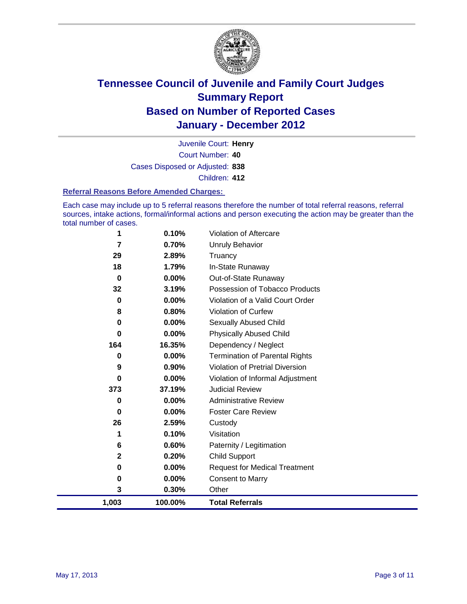

Court Number: **40** Juvenile Court: **Henry** Cases Disposed or Adjusted: **838** Children: **412**

#### **Referral Reasons Before Amended Charges:**

Each case may include up to 5 referral reasons therefore the number of total referral reasons, referral sources, intake actions, formal/informal actions and person executing the action may be greater than the total number of cases.

| 1           | 0.10%   | Violation of Aftercare                 |
|-------------|---------|----------------------------------------|
| 7           | 0.70%   | <b>Unruly Behavior</b>                 |
| 29          | 2.89%   | Truancy                                |
| 18          | 1.79%   | In-State Runaway                       |
| $\bf{0}$    | 0.00%   | Out-of-State Runaway                   |
| 32          | 3.19%   | Possession of Tobacco Products         |
| $\mathbf 0$ | 0.00%   | Violation of a Valid Court Order       |
| 8           | 0.80%   | <b>Violation of Curfew</b>             |
| 0           | 0.00%   | <b>Sexually Abused Child</b>           |
| 0           | 0.00%   | <b>Physically Abused Child</b>         |
| 164         | 16.35%  | Dependency / Neglect                   |
| 0           | 0.00%   | <b>Termination of Parental Rights</b>  |
| 9           | 0.90%   | <b>Violation of Pretrial Diversion</b> |
| 0           | 0.00%   | Violation of Informal Adjustment       |
| 373         | 37.19%  | <b>Judicial Review</b>                 |
| 0           | 0.00%   | <b>Administrative Review</b>           |
| 0           | 0.00%   | <b>Foster Care Review</b>              |
| 26          | 2.59%   | Custody                                |
| 1           | 0.10%   | Visitation                             |
| 6           | 0.60%   | Paternity / Legitimation               |
| 2           | 0.20%   | <b>Child Support</b>                   |
| 0           | 0.00%   | <b>Request for Medical Treatment</b>   |
| 0           | 0.00%   | <b>Consent to Marry</b>                |
| 3           | 0.30%   | Other                                  |
| 1,003       | 100.00% | <b>Total Referrals</b>                 |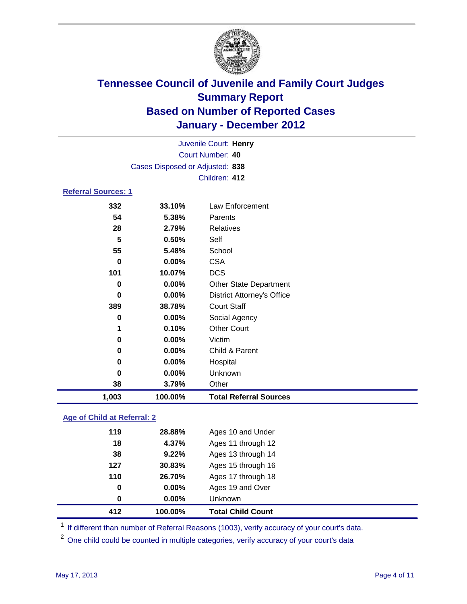

| Juvenile Court: Henry              |                                 |                                   |  |  |  |
|------------------------------------|---------------------------------|-----------------------------------|--|--|--|
| Court Number: 40                   |                                 |                                   |  |  |  |
|                                    | Cases Disposed or Adjusted: 838 |                                   |  |  |  |
|                                    |                                 | Children: 412                     |  |  |  |
| <b>Referral Sources: 1</b>         |                                 |                                   |  |  |  |
| 332                                | 33.10%                          | Law Enforcement                   |  |  |  |
| 54                                 | 5.38%                           | Parents                           |  |  |  |
| 28                                 | 2.79%                           | <b>Relatives</b>                  |  |  |  |
| 5                                  | 0.50%                           | Self                              |  |  |  |
| 55                                 | 5.48%                           | School                            |  |  |  |
| $\bf{0}$                           | 0.00%                           | <b>CSA</b>                        |  |  |  |
| 101                                | 10.07%                          | <b>DCS</b>                        |  |  |  |
| 0.00%<br>0                         |                                 | Other State Department            |  |  |  |
| $\bf{0}$                           | 0.00%                           | <b>District Attorney's Office</b> |  |  |  |
| 389                                | 38.78%                          | <b>Court Staff</b>                |  |  |  |
| 0                                  | 0.00%                           | Social Agency                     |  |  |  |
| 1                                  | 0.10%                           | <b>Other Court</b>                |  |  |  |
| 0                                  | 0.00%                           | Victim                            |  |  |  |
| 0                                  | 0.00%                           | Child & Parent                    |  |  |  |
| 0                                  | 0.00%                           | Hospital                          |  |  |  |
| 0                                  | 0.00%                           | Unknown                           |  |  |  |
| 38                                 | 3.79%                           | Other                             |  |  |  |
| 1,003                              | 100.00%                         | <b>Total Referral Sources</b>     |  |  |  |
| <b>Age of Child at Referral: 2</b> |                                 |                                   |  |  |  |

|  |  | Age of United at Referral: 2 |  |
|--|--|------------------------------|--|
|  |  |                              |  |
|  |  |                              |  |

| 412 | 100.00%  | <b>Total Child Count</b> |
|-----|----------|--------------------------|
| 0   | $0.00\%$ | <b>Unknown</b>           |
| 0   | 0.00%    | Ages 19 and Over         |
| 110 | 26.70%   | Ages 17 through 18       |
| 127 | 30.83%   | Ages 15 through 16       |
| 38  | 9.22%    | Ages 13 through 14       |
| 18  | 4.37%    | Ages 11 through 12       |
| 119 | 28.88%   | Ages 10 and Under        |

<sup>1</sup> If different than number of Referral Reasons (1003), verify accuracy of your court's data.

<sup>2</sup> One child could be counted in multiple categories, verify accuracy of your court's data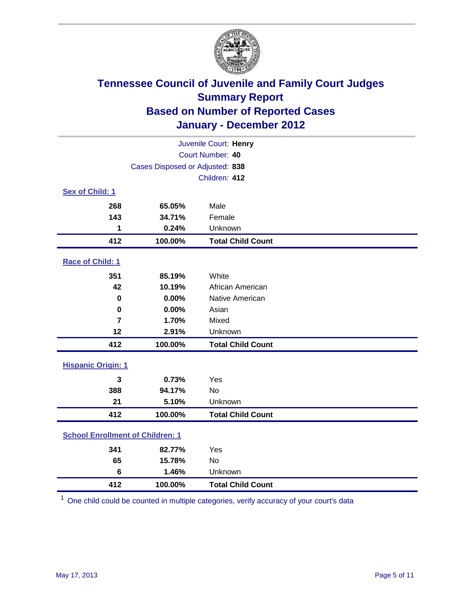

| Juvenile Court: Henry                   |                                 |                          |  |  |
|-----------------------------------------|---------------------------------|--------------------------|--|--|
|                                         | Court Number: 40                |                          |  |  |
|                                         | Cases Disposed or Adjusted: 838 |                          |  |  |
|                                         |                                 | Children: 412            |  |  |
| Sex of Child: 1                         |                                 |                          |  |  |
| 268                                     | 65.05%                          | Male                     |  |  |
| 143                                     | 34.71%                          | Female                   |  |  |
| 1                                       | 0.24%                           | Unknown                  |  |  |
| 412                                     | 100.00%                         | <b>Total Child Count</b> |  |  |
| Race of Child: 1                        |                                 |                          |  |  |
| 351                                     | 85.19%                          | White                    |  |  |
| 42                                      | 10.19%                          | African American         |  |  |
| $\mathbf 0$                             | 0.00%                           | Native American          |  |  |
| 0                                       | 0.00%                           | Asian                    |  |  |
| $\overline{7}$                          | 1.70%                           | Mixed                    |  |  |
| 12                                      | 2.91%                           | Unknown                  |  |  |
| 412                                     | 100.00%                         | <b>Total Child Count</b> |  |  |
| <b>Hispanic Origin: 1</b>               |                                 |                          |  |  |
| $\mathbf{3}$                            | 0.73%                           | Yes                      |  |  |
| 388                                     | 94.17%                          | <b>No</b>                |  |  |
| 21                                      | 5.10%                           | Unknown                  |  |  |
| 412                                     | 100.00%                         | <b>Total Child Count</b> |  |  |
| <b>School Enrollment of Children: 1</b> |                                 |                          |  |  |
| 341                                     | 82.77%                          | Yes                      |  |  |
| 65                                      | 15.78%                          | <b>No</b>                |  |  |
| $6\phantom{1}$                          | 1.46%                           | Unknown                  |  |  |
| 412                                     | 100.00%                         | <b>Total Child Count</b> |  |  |

One child could be counted in multiple categories, verify accuracy of your court's data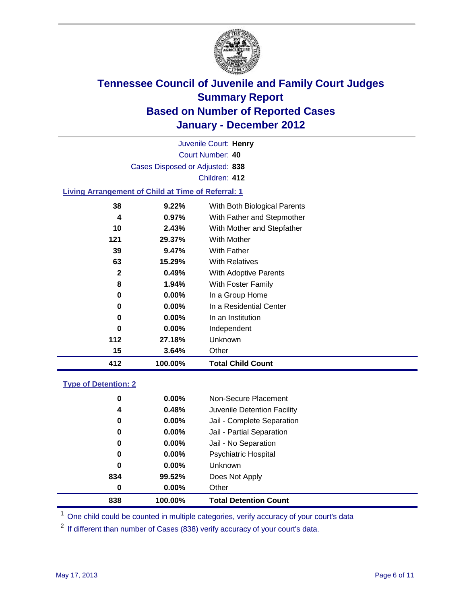

Court Number: **40** Juvenile Court: **Henry** Cases Disposed or Adjusted: **838** Children: **412**

### **Living Arrangement of Child at Time of Referral: 1**

| 412 | 100.00%  | <b>Total Child Count</b>     |
|-----|----------|------------------------------|
| 15  | 3.64%    | Other                        |
| 112 | 27.18%   | Unknown                      |
| 0   | $0.00\%$ | Independent                  |
| 0   | $0.00\%$ | In an Institution            |
| 0   | $0.00\%$ | In a Residential Center      |
| 0   | $0.00\%$ | In a Group Home              |
| 8   | $1.94\%$ | With Foster Family           |
| 2   | 0.49%    | With Adoptive Parents        |
| 63  | 15.29%   | <b>With Relatives</b>        |
| 39  | 9.47%    | With Father                  |
| 121 | 29.37%   | With Mother                  |
| 10  | 2.43%    | With Mother and Stepfather   |
| 4   | $0.97\%$ | With Father and Stepmother   |
| 38  | 9.22%    | With Both Biological Parents |
|     |          |                              |

#### **Type of Detention: 2**

| 838 | 100.00%  | <b>Total Detention Count</b> |  |
|-----|----------|------------------------------|--|
| 0   | 0.00%    | Other                        |  |
| 834 | 99.52%   | Does Not Apply               |  |
| 0   | $0.00\%$ | Unknown                      |  |
| 0   | $0.00\%$ | Psychiatric Hospital         |  |
| 0   | 0.00%    | Jail - No Separation         |  |
| 0   | $0.00\%$ | Jail - Partial Separation    |  |
| 0   | $0.00\%$ | Jail - Complete Separation   |  |
| 4   | 0.48%    | Juvenile Detention Facility  |  |
| 0   | $0.00\%$ | Non-Secure Placement         |  |
|     |          |                              |  |

<sup>1</sup> One child could be counted in multiple categories, verify accuracy of your court's data

<sup>2</sup> If different than number of Cases (838) verify accuracy of your court's data.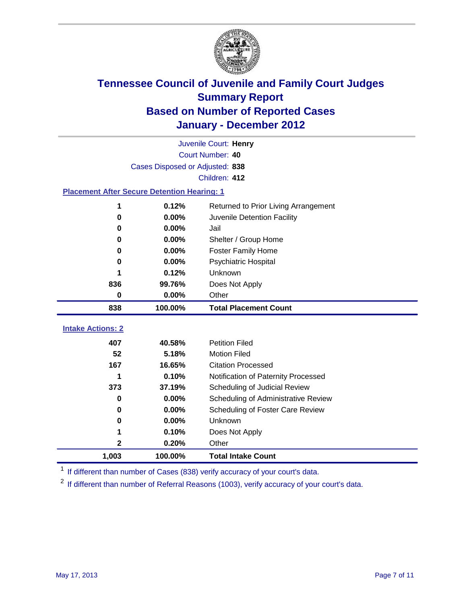

|                                                    | Juvenile Court: Henry                         |                                     |  |  |  |
|----------------------------------------------------|-----------------------------------------------|-------------------------------------|--|--|--|
|                                                    | Court Number: 40                              |                                     |  |  |  |
|                                                    | Cases Disposed or Adjusted: 838               |                                     |  |  |  |
|                                                    |                                               | Children: 412                       |  |  |  |
| <b>Placement After Secure Detention Hearing: 1</b> |                                               |                                     |  |  |  |
| 1                                                  | 0.12%<br>Returned to Prior Living Arrangement |                                     |  |  |  |
| $\bf{0}$                                           | 0.00%                                         | Juvenile Detention Facility         |  |  |  |
| 0                                                  | 0.00%                                         | Jail                                |  |  |  |
| 0                                                  | $0.00\%$                                      | Shelter / Group Home                |  |  |  |
| 0                                                  | 0.00%                                         | <b>Foster Family Home</b>           |  |  |  |
| 0                                                  | 0.00%                                         | Psychiatric Hospital                |  |  |  |
|                                                    | 0.12%                                         | Unknown                             |  |  |  |
| 836                                                | 99.76%                                        | Does Not Apply                      |  |  |  |
| $\bf{0}$                                           | $0.00\%$                                      | Other                               |  |  |  |
| 838                                                | 100.00%                                       | <b>Total Placement Count</b>        |  |  |  |
|                                                    |                                               |                                     |  |  |  |
| <b>Intake Actions: 2</b>                           |                                               |                                     |  |  |  |
| 407                                                | 40.58%                                        | <b>Petition Filed</b>               |  |  |  |
| 52                                                 | 5.18%                                         | <b>Motion Filed</b>                 |  |  |  |
| 167                                                | 16.65%                                        | <b>Citation Processed</b>           |  |  |  |
| 1                                                  | 0.10%                                         | Notification of Paternity Processed |  |  |  |
| 373                                                | 37.19%                                        | Scheduling of Judicial Review       |  |  |  |
| $\bf{0}$                                           | 0.00%                                         | Scheduling of Administrative Review |  |  |  |
| 0                                                  | 0.00%                                         | Scheduling of Foster Care Review    |  |  |  |
| 0                                                  | 0.00%                                         | Unknown                             |  |  |  |
| 1                                                  | 0.10%                                         | Does Not Apply                      |  |  |  |
| 2                                                  | 0.20%                                         | Other                               |  |  |  |
| 1,003                                              | 100.00%                                       | <b>Total Intake Count</b>           |  |  |  |

<sup>1</sup> If different than number of Cases (838) verify accuracy of your court's data.

<sup>2</sup> If different than number of Referral Reasons (1003), verify accuracy of your court's data.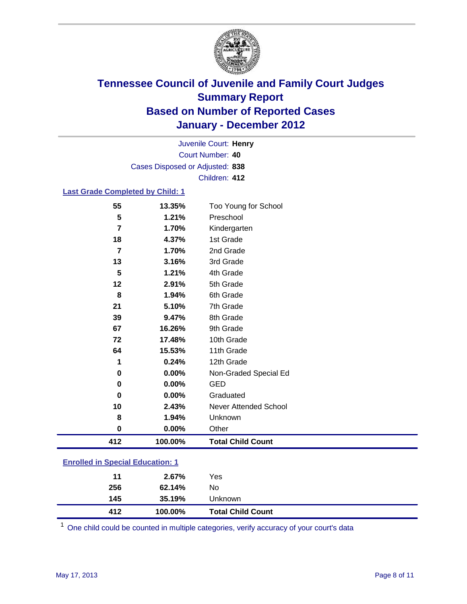

Court Number: **40** Juvenile Court: **Henry** Cases Disposed or Adjusted: **838** Children: **412**

### **Last Grade Completed by Child: 1**

| 55                                      | 13.35%  | Too Young for School         |  |
|-----------------------------------------|---------|------------------------------|--|
| 5                                       | 1.21%   | Preschool                    |  |
| 7                                       | 1.70%   | Kindergarten                 |  |
| 18                                      | 4.37%   | 1st Grade                    |  |
| 7                                       | 1.70%   | 2nd Grade                    |  |
| 13                                      | 3.16%   | 3rd Grade                    |  |
| 5                                       | 1.21%   | 4th Grade                    |  |
| 12                                      | 2.91%   | 5th Grade                    |  |
| 8                                       | 1.94%   | 6th Grade                    |  |
| 21                                      | 5.10%   | 7th Grade                    |  |
| 39                                      | 9.47%   | 8th Grade                    |  |
| 67                                      | 16.26%  | 9th Grade                    |  |
| 72                                      | 17.48%  | 10th Grade                   |  |
| 64                                      | 15.53%  | 11th Grade                   |  |
| 1                                       | 0.24%   | 12th Grade                   |  |
| 0                                       | 0.00%   | Non-Graded Special Ed        |  |
| 0                                       | 0.00%   | <b>GED</b>                   |  |
| 0                                       | 0.00%   | Graduated                    |  |
| 10                                      | 2.43%   | <b>Never Attended School</b> |  |
| 8                                       | 1.94%   | Unknown                      |  |
| $\pmb{0}$                               | 0.00%   | Other                        |  |
| 412                                     | 100.00% | <b>Total Child Count</b>     |  |
| <b>Enrolled in Special Education: 1</b> |         |                              |  |

| 11  | 2.67%   | Yes                      |
|-----|---------|--------------------------|
| 256 | 62.14%  | No                       |
| 145 | 35.19%  | <b>Unknown</b>           |
| 412 | 100.00% | <b>Total Child Count</b> |

One child could be counted in multiple categories, verify accuracy of your court's data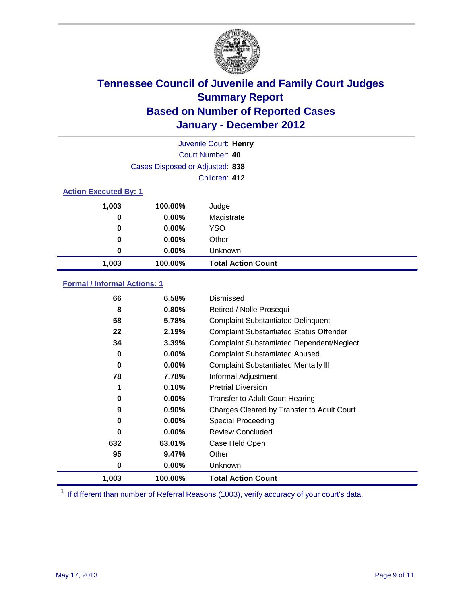

|                              |                                 | Juvenile Court: Henry     |
|------------------------------|---------------------------------|---------------------------|
|                              |                                 | <b>Court Number: 40</b>   |
|                              | Cases Disposed or Adjusted: 838 |                           |
|                              |                                 | Children: 412             |
| <b>Action Executed By: 1</b> |                                 |                           |
| 1,003                        | 100.00%                         | Judge                     |
| 0                            | $0.00\%$                        | Magistrate                |
| 0                            | $0.00\%$                        | <b>YSO</b>                |
| 0                            | 0.00%                           | Other                     |
| 0                            | 0.00%                           | Unknown                   |
| 1,003                        | 100.00%                         | <b>Total Action Count</b> |

### **Formal / Informal Actions: 1**

| 66    | 6.58%    | Dismissed                                        |
|-------|----------|--------------------------------------------------|
| 8     | 0.80%    | Retired / Nolle Prosequi                         |
| 58    | 5.78%    | <b>Complaint Substantiated Delinquent</b>        |
| 22    | 2.19%    | <b>Complaint Substantiated Status Offender</b>   |
| 34    | 3.39%    | <b>Complaint Substantiated Dependent/Neglect</b> |
| 0     | $0.00\%$ | <b>Complaint Substantiated Abused</b>            |
| 0     | $0.00\%$ | <b>Complaint Substantiated Mentally III</b>      |
| 78    | 7.78%    | Informal Adjustment                              |
| 1     | 0.10%    | <b>Pretrial Diversion</b>                        |
| 0     | $0.00\%$ | <b>Transfer to Adult Court Hearing</b>           |
| 9     | $0.90\%$ | Charges Cleared by Transfer to Adult Court       |
| 0     | $0.00\%$ | Special Proceeding                               |
| 0     | $0.00\%$ | <b>Review Concluded</b>                          |
| 632   | 63.01%   | Case Held Open                                   |
| 95    | 9.47%    | Other                                            |
| 0     | 0.00%    | <b>Unknown</b>                                   |
| 1,003 | 100.00%  | <b>Total Action Count</b>                        |

<sup>1</sup> If different than number of Referral Reasons (1003), verify accuracy of your court's data.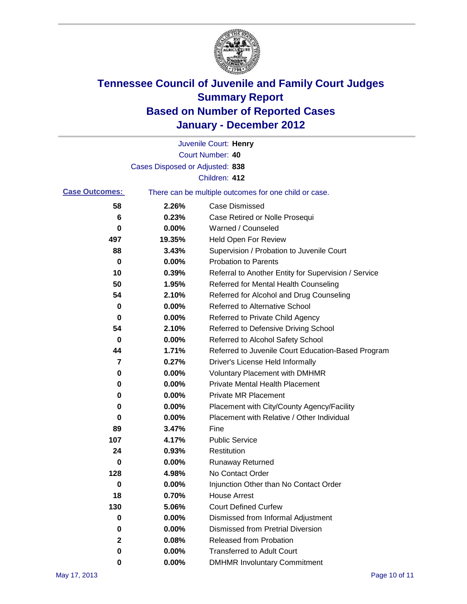

|                       |                                 | Juvenile Court: Henry                                 |
|-----------------------|---------------------------------|-------------------------------------------------------|
|                       |                                 | Court Number: 40                                      |
|                       | Cases Disposed or Adjusted: 838 |                                                       |
|                       |                                 | Children: 412                                         |
| <b>Case Outcomes:</b> |                                 | There can be multiple outcomes for one child or case. |
| 58                    | 2.26%                           | <b>Case Dismissed</b>                                 |
| 6                     | 0.23%                           | Case Retired or Nolle Prosequi                        |
| 0                     | 0.00%                           | Warned / Counseled                                    |
| 497                   | 19.35%                          | Held Open For Review                                  |
| 88                    | 3.43%                           | Supervision / Probation to Juvenile Court             |
| 0                     | 0.00%                           | <b>Probation to Parents</b>                           |
| 10                    | 0.39%                           | Referral to Another Entity for Supervision / Service  |
| 50                    | 1.95%                           | Referred for Mental Health Counseling                 |
| 54                    | 2.10%                           | Referred for Alcohol and Drug Counseling              |
| 0                     | 0.00%                           | <b>Referred to Alternative School</b>                 |
| 0                     | 0.00%                           | Referred to Private Child Agency                      |
| 54                    | 2.10%                           | Referred to Defensive Driving School                  |
| 0                     | 0.00%                           | Referred to Alcohol Safety School                     |
| 44                    | 1.71%                           | Referred to Juvenile Court Education-Based Program    |
| 7                     | 0.27%                           | Driver's License Held Informally                      |
| 0                     | 0.00%                           | <b>Voluntary Placement with DMHMR</b>                 |
| 0                     | 0.00%                           | <b>Private Mental Health Placement</b>                |
| 0                     | 0.00%                           | <b>Private MR Placement</b>                           |
| 0                     | 0.00%                           | Placement with City/County Agency/Facility            |
| 0                     | 0.00%                           | Placement with Relative / Other Individual            |
| 89                    | 3.47%                           | Fine                                                  |
| 107                   | 4.17%                           | <b>Public Service</b>                                 |
| 24                    | 0.93%                           | Restitution                                           |
| 0                     | 0.00%                           | <b>Runaway Returned</b>                               |
| 128                   | 4.98%                           | No Contact Order                                      |
| 0                     | 0.00%                           | Injunction Other than No Contact Order                |
| 18                    | 0.70%                           | <b>House Arrest</b>                                   |
| 130                   | 5.06%                           | <b>Court Defined Curfew</b>                           |
| 0                     | $0.00\%$                        | Dismissed from Informal Adjustment                    |
| 0                     | 0.00%                           | <b>Dismissed from Pretrial Diversion</b>              |
| $\mathbf{2}$          | 0.08%                           | Released from Probation                               |
| 0                     | 0.00%                           | <b>Transferred to Adult Court</b>                     |
| 0                     | $0.00\%$                        | <b>DMHMR Involuntary Commitment</b>                   |